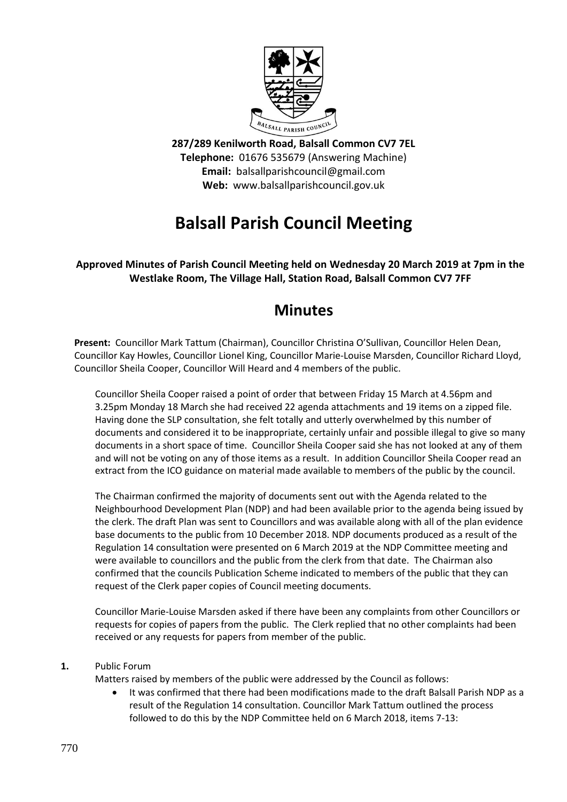

**287/289 Kenilworth Road, Balsall Common CV7 7EL Telephone:** 01676 535679 (Answering Machine) **Email:** balsallparishcouncil@gmail.com **Web:** www.balsallparishcouncil.gov.uk

# **Balsall Parish Council Meeting**

### **Approved Minutes of Parish Council Meeting held on Wednesday 20 March 2019 at 7pm in the Westlake Room, The Village Hall, Station Road, Balsall Common CV7 7FF**

## **Minutes**

**Present:** Councillor Mark Tattum (Chairman), Councillor Christina O'Sullivan, Councillor Helen Dean, Councillor Kay Howles, Councillor Lionel King, Councillor Marie-Louise Marsden, Councillor Richard Lloyd, Councillor Sheila Cooper, Councillor Will Heard and 4 members of the public.

Councillor Sheila Cooper raised a point of order that between Friday 15 March at 4.56pm and 3.25pm Monday 18 March she had received 22 agenda attachments and 19 items on a zipped file. Having done the SLP consultation, she felt totally and utterly overwhelmed by this number of documents and considered it to be inappropriate, certainly unfair and possible illegal to give so many documents in a short space of time. Councillor Sheila Cooper said she has not looked at any of them and will not be voting on any of those items as a result. In addition Councillor Sheila Cooper read an extract from the ICO guidance on material made available to members of the public by the council.

The Chairman confirmed the majority of documents sent out with the Agenda related to the Neighbourhood Development Plan (NDP) and had been available prior to the agenda being issued by the clerk. The draft Plan was sent to Councillors and was available along with all of the plan evidence base documents to the public from 10 December 2018. NDP documents produced as a result of the Regulation 14 consultation were presented on 6 March 2019 at the NDP Committee meeting and were available to councillors and the public from the clerk from that date. The Chairman also confirmed that the councils Publication Scheme indicated to members of the public that they can request of the Clerk paper copies of Council meeting documents.

Councillor Marie-Louise Marsden asked if there have been any complaints from other Councillors or requests for copies of papers from the public. The Clerk replied that no other complaints had been received or any requests for papers from member of the public.

#### **1.** Public Forum

Matters raised by members of the public were addressed by the Council as follows:

 It was confirmed that there had been modifications made to the draft Balsall Parish NDP as a result of the Regulation 14 consultation. Councillor Mark Tattum outlined the process followed to do this by the NDP Committee held on 6 March 2018, items 7-13: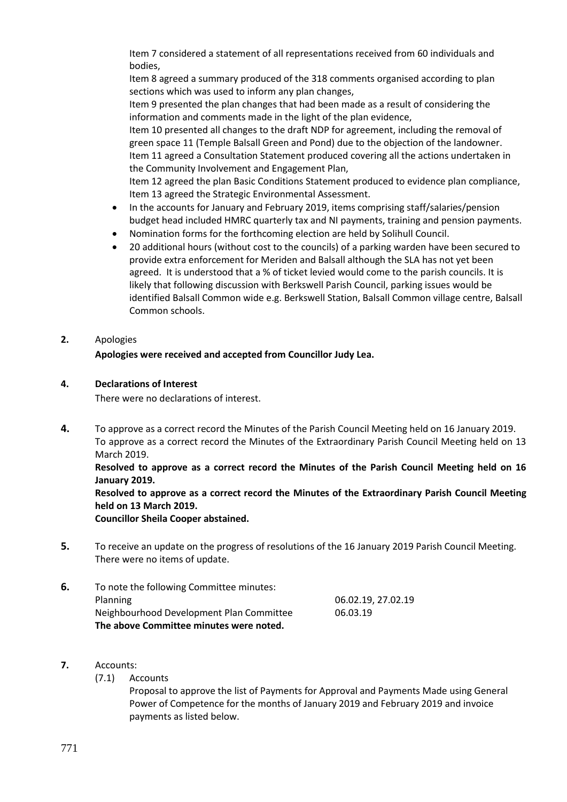Item 7 considered a statement of all representations received from 60 individuals and bodies,

Item 8 agreed a summary produced of the 318 comments organised according to plan sections which was used to inform any plan changes,

Item 9 presented the plan changes that had been made as a result of considering the information and comments made in the light of the plan evidence,

Item 10 presented all changes to the draft NDP for agreement, including the removal of green space 11 (Temple Balsall Green and Pond) due to the objection of the landowner. Item 11 agreed a Consultation Statement produced covering all the actions undertaken in the Community Involvement and Engagement Plan,

Item 12 agreed the plan Basic Conditions Statement produced to evidence plan compliance, Item 13 agreed the Strategic Environmental Assessment.

- In the accounts for January and February 2019, items comprising staff/salaries/pension budget head included HMRC quarterly tax and NI payments, training and pension payments.
- Nomination forms for the forthcoming election are held by Solihull Council.
- 20 additional hours (without cost to the councils) of a parking warden have been secured to provide extra enforcement for Meriden and Balsall although the SLA has not yet been agreed. It is understood that a % of ticket levied would come to the parish councils. It is likely that following discussion with Berkswell Parish Council, parking issues would be identified Balsall Common wide e.g. Berkswell Station, Balsall Common village centre, Balsall Common schools.
- **2.** Apologies

**Apologies were received and accepted from Councillor Judy Lea.**

#### **4. Declarations of Interest**

There were no declarations of interest.

**4.** To approve as a correct record the Minutes of the Parish Council Meeting held on 16 January 2019. To approve as a correct record the Minutes of the Extraordinary Parish Council Meeting held on 13 March 2019.

**Resolved to approve as a correct record the Minutes of the Parish Council Meeting held on 16 January 2019.**

**Resolved to approve as a correct record the Minutes of the Extraordinary Parish Council Meeting held on 13 March 2019.**

**Councillor Sheila Cooper abstained.**

**5.** To receive an update on the progress of resolutions of the 16 January 2019 Parish Council Meeting. There were no items of update.

| 6. | To note the following Committee minutes: |                    |
|----|------------------------------------------|--------------------|
|    | <b>Planning</b>                          | 06.02.19, 27.02.19 |
|    | Neighbourhood Development Plan Committee | 06.03.19           |
|    | The above Committee minutes were noted.  |                    |

- **7.** Accounts:
	- (7.1) Accounts

Proposal to approve the list of Payments for Approval and Payments Made using General Power of Competence for the months of January 2019 and February 2019 and invoice payments as listed below.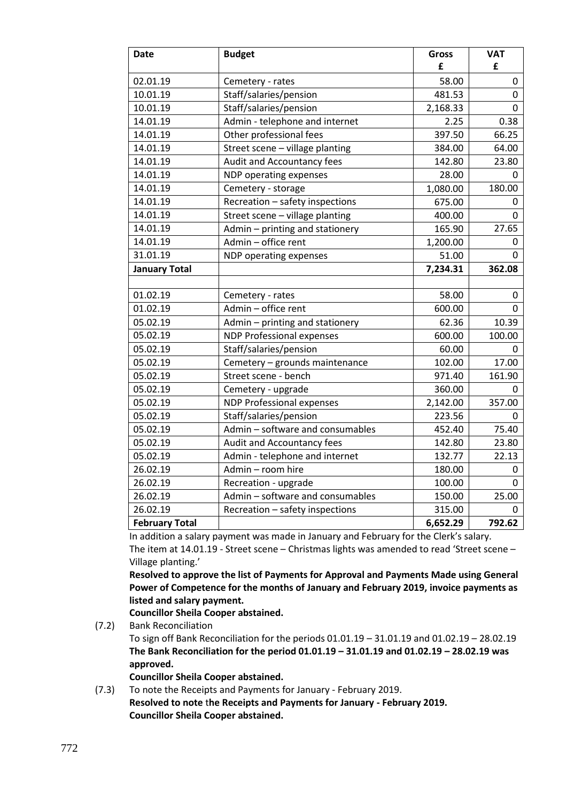| Date                  | <b>Budget</b>                    | <b>Gross</b> | <b>VAT</b>  |
|-----------------------|----------------------------------|--------------|-------------|
|                       |                                  | £            | £           |
| 02.01.19              | Cemetery - rates                 | 58.00        | 0           |
| 10.01.19              | Staff/salaries/pension           | 481.53       | 0           |
| 10.01.19              | Staff/salaries/pension           | 2,168.33     | 0           |
| 14.01.19              | Admin - telephone and internet   | 2.25         | 0.38        |
| 14.01.19              | Other professional fees          | 397.50       | 66.25       |
| 14.01.19              | Street scene - village planting  | 384.00       | 64.00       |
| 14.01.19              | Audit and Accountancy fees       | 142.80       | 23.80       |
| 14.01.19              | NDP operating expenses           | 28.00        | 0           |
| 14.01.19              | Cemetery - storage               | 1,080.00     | 180.00      |
| 14.01.19              | Recreation - safety inspections  | 675.00       | 0           |
| 14.01.19              | Street scene - village planting  | 400.00       | $\mathbf 0$ |
| 14.01.19              | Admin - printing and stationery  | 165.90       | 27.65       |
| 14.01.19              | Admin - office rent              | 1,200.00     | 0           |
| 31.01.19              | NDP operating expenses           | 51.00        | 0           |
| <b>January Total</b>  |                                  | 7,234.31     | 362.08      |
|                       |                                  |              |             |
| 01.02.19              | Cemetery - rates                 | 58.00        | 0           |
| 01.02.19              | Admin - office rent              | 600.00       | 0           |
| 05.02.19              | Admin - printing and stationery  | 62.36        | 10.39       |
| 05.02.19              | <b>NDP Professional expenses</b> | 600.00       | 100.00      |
| 05.02.19              | Staff/salaries/pension           | 60.00        | 0           |
| 05.02.19              | Cemetery - grounds maintenance   | 102.00       | 17.00       |
| 05.02.19              | Street scene - bench             | 971.40       | 161.90      |
| 05.02.19              | Cemetery - upgrade               | 360.00       | 0           |
| 05.02.19              | <b>NDP Professional expenses</b> | 2,142.00     | 357.00      |
| 05.02.19              | Staff/salaries/pension           | 223.56       | 0           |
| 05.02.19              | Admin - software and consumables | 452.40       | 75.40       |
| 05.02.19              | Audit and Accountancy fees       | 142.80       | 23.80       |
| 05.02.19              | Admin - telephone and internet   | 132.77       | 22.13       |
| 26.02.19              | Admin - room hire                | 180.00       | 0           |
| 26.02.19              | Recreation - upgrade             | 100.00       | 0           |
| 26.02.19              | Admin - software and consumables | 150.00       | 25.00       |
| 26.02.19              | Recreation - safety inspections  | 315.00       | 0           |
| <b>February Total</b> |                                  | 6,652.29     | 792.62      |

In addition a salary payment was made in January and February for the Clerk's salary.

The item at 14.01.19 - Street scene – Christmas lights was amended to read 'Street scene – Village planting.'

**Resolved to approve the list of Payments for Approval and Payments Made using General Power of Competence for the months of January and February 2019, invoice payments as listed and salary payment.**

**Councillor Sheila Cooper abstained.**

- (7.2) Bank Reconciliation To sign off Bank Reconciliation for the periods 01.01.19 – 31.01.19 and 01.02.19 – 28.02.19 **The Bank Reconciliation for the period 01.01.19 – 31.01.19 and 01.02.19 – 28.02.19 was approved. Councillor Sheila Cooper abstained.**
- (7.3) To note the Receipts and Payments for January February 2019. **Resolved to note** t**he Receipts and Payments for January - February 2019. Councillor Sheila Cooper abstained.**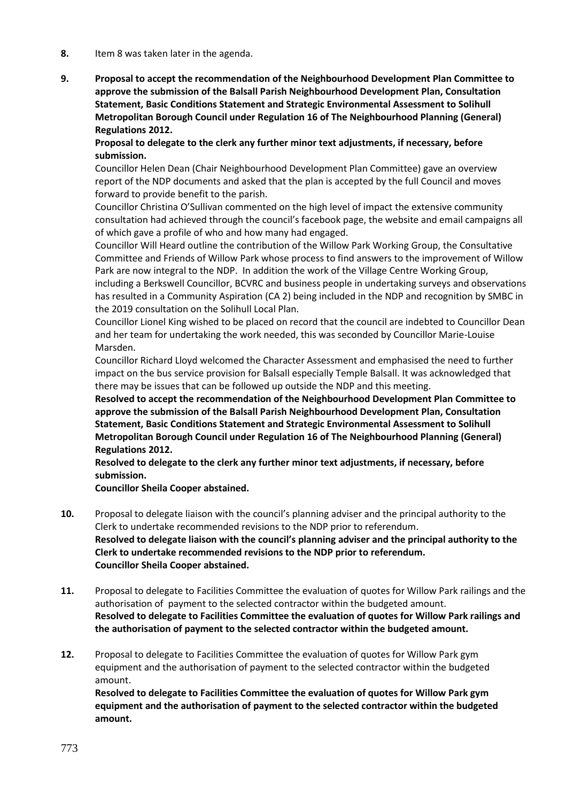- **8.** Item 8 was taken later in the agenda.
- **9. Proposal to accept the recommendation of the Neighbourhood Development Plan Committee to approve the submission of the Balsall Parish Neighbourhood Development Plan, Consultation Statement, Basic Conditions Statement and Strategic Environmental Assessment to Solihull Metropolitan Borough Council under Regulation 16 of The Neighbourhood Planning (General) Regulations 2012.**

**Proposal to delegate to the clerk any further minor text adjustments, if necessary, before submission.**

Councillor Helen Dean (Chair Neighbourhood Development Plan Committee) gave an overview report of the NDP documents and asked that the plan is accepted by the full Council and moves forward to provide benefit to the parish.

Councillor Christina O'Sullivan commented on the high level of impact the extensive community consultation had achieved through the council's facebook page, the website and email campaigns all of which gave a profile of who and how many had engaged.

Councillor Will Heard outline the contribution of the Willow Park Working Group, the Consultative Committee and Friends of Willow Park whose process to find answers to the improvement of Willow Park are now integral to the NDP. In addition the work of the Village Centre Working Group, including a Berkswell Councillor, BCVRC and business people in undertaking surveys and observations has resulted in a Community Aspiration (CA 2) being included in the NDP and recognition by SMBC in the 2019 consultation on the Solihull Local Plan.

Councillor Lionel King wished to be placed on record that the council are indebted to Councillor Dean and her team for undertaking the work needed, this was seconded by Councillor Marie-Louise Marsden.

Councillor Richard Lloyd welcomed the Character Assessment and emphasised the need to further impact on the bus service provision for Balsall especially Temple Balsall. It was acknowledged that there may be issues that can be followed up outside the NDP and this meeting.

**Resolved to accept the recommendation of the Neighbourhood Development Plan Committee to approve the submission of the Balsall Parish Neighbourhood Development Plan, Consultation Statement, Basic Conditions Statement and Strategic Environmental Assessment to Solihull Metropolitan Borough Council under Regulation 16 of The Neighbourhood Planning (General) Regulations 2012.**

**Resolved to delegate to the clerk any further minor text adjustments, if necessary, before submission.**

**Councillor Sheila Cooper abstained.**

- **10.** Proposal to delegate liaison with the council's planning adviser and the principal authority to the Clerk to undertake recommended revisions to the NDP prior to referendum. **Resolved to delegate liaison with the council's planning adviser and the principal authority to the Clerk to undertake recommended revisions to the NDP prior to referendum. Councillor Sheila Cooper abstained.**
- **11.** Proposal to delegate to Facilities Committee the evaluation of quotes for Willow Park railings and the authorisation of payment to the selected contractor within the budgeted amount. **Resolved to delegate to Facilities Committee the evaluation of quotes for Willow Park railings and the authorisation of payment to the selected contractor within the budgeted amount.**
- **12.** Proposal to delegate to Facilities Committee the evaluation of quotes for Willow Park gym equipment and the authorisation of payment to the selected contractor within the budgeted amount.

**Resolved to delegate to Facilities Committee the evaluation of quotes for Willow Park gym equipment and the authorisation of payment to the selected contractor within the budgeted amount.**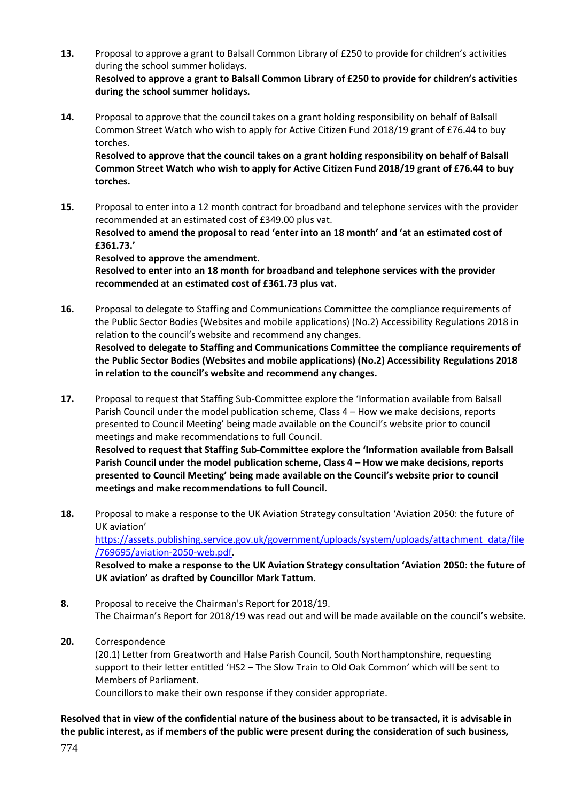**13.** Proposal to approve a grant to Balsall Common Library of £250 to provide for children's activities during the school summer holidays.

**Resolved to approve a grant to Balsall Common Library of £250 to provide for children's activities during the school summer holidays.**

**14.** Proposal to approve that the council takes on a grant holding responsibility on behalf of Balsall Common Street Watch who wish to apply for Active Citizen Fund 2018/19 grant of £76.44 to buy torches.

**Resolved to approve that the council takes on a grant holding responsibility on behalf of Balsall Common Street Watch who wish to apply for Active Citizen Fund 2018/19 grant of £76.44 to buy torches.**

**15.** Proposal to enter into a 12 month contract for broadband and telephone services with the provider recommended at an estimated cost of £349.00 plus vat. **Resolved to amend the proposal to read 'enter into an 18 month' and 'at an estimated cost of £361.73.'**

**Resolved to approve the amendment.**

**Resolved to enter into an 18 month for broadband and telephone services with the provider recommended at an estimated cost of £361.73 plus vat.**

- **16.** Proposal to delegate to Staffing and Communications Committee the compliance requirements of the Public Sector Bodies (Websites and mobile applications) (No.2) Accessibility Regulations 2018 in relation to the council's website and recommend any changes. **Resolved to delegate to Staffing and Communications Committee the compliance requirements of the Public Sector Bodies (Websites and mobile applications) (No.2) Accessibility Regulations 2018 in relation to the council's website and recommend any changes.**
- **17.** Proposal to request that Staffing Sub-Committee explore the 'Information available from Balsall Parish Council under the model publication scheme, Class 4 – How we make decisions, reports presented to Council Meeting' being made available on the Council's website prior to council meetings and make recommendations to full Council. **Resolved to request that Staffing Sub-Committee explore the 'Information available from Balsall Parish Council under the model publication scheme, Class 4 – How we make decisions, reports presented to Council Meeting' being made available on the Council's website prior to council meetings and make recommendations to full Council.**
- **18.** Proposal to make a response to the UK Aviation Strategy consultation 'Aviation 2050: the future of UK aviation' [https://assets.publishing.service.gov.uk/government/uploads/system/uploads/attachment\\_data/file](https://assets.publishing.service.gov.uk/government/uploads/system/uploads/attachment_data/file/769695/aviation-2050-web.pdf) [/769695/aviation-2050-web.pdf.](https://assets.publishing.service.gov.uk/government/uploads/system/uploads/attachment_data/file/769695/aviation-2050-web.pdf)

**Resolved to make a response to the UK Aviation Strategy consultation 'Aviation 2050: the future of UK aviation' as drafted by Councillor Mark Tattum.**

- **8.** Proposal to receive the Chairman's Report for 2018/19. The Chairman's Report for 2018/19 was read out and will be made available on the council's website.
- **20.** Correspondence

(20.1) Letter from Greatworth and Halse Parish Council, South Northamptonshire, requesting support to their letter entitled 'HS2 – The Slow Train to Old Oak Common' which will be sent to Members of Parliament.

Councillors to make their own response if they consider appropriate.

#### **Resolved that in view of the confidential nature of the business about to be transacted, it is advisable in the public interest, as if members of the public were present during the consideration of such business,**